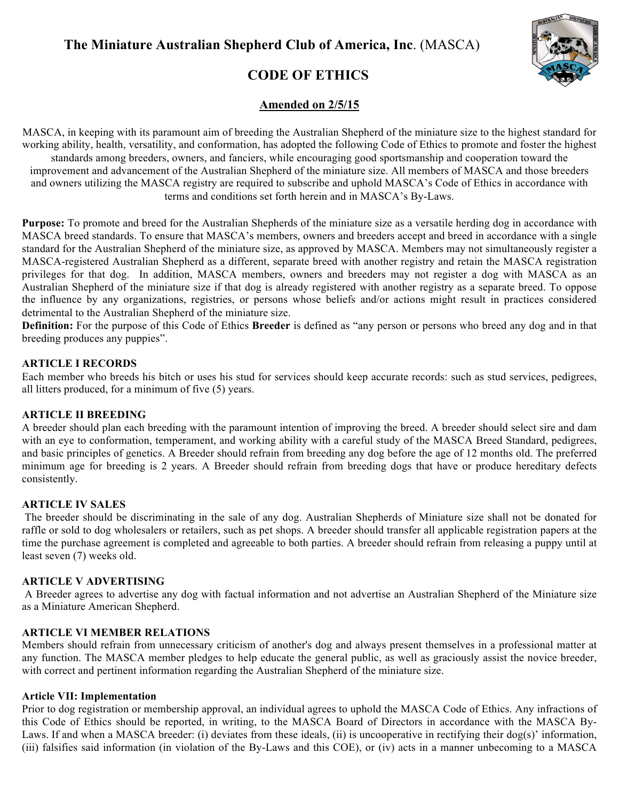

# **CODE OF ETHICS**

## **Amended on 2/5/15**

MASCA, in keeping with its paramount aim of breeding the Australian Shepherd of the miniature size to the highest standard for working ability, health, versatility, and conformation, has adopted the following Code of Ethics to promote and foster the highest standards among breeders, owners, and fanciers, while encouraging good sportsmanship and cooperation toward the improvement and advancement of the Australian Shepherd of the miniature size. All members of MASCA and those breeders and owners utilizing the MASCA registry are required to subscribe and uphold MASCA's Code of Ethics in accordance with terms and conditions set forth herein and in MASCA's By-Laws.

**Purpose:** To promote and breed for the Australian Shepherds of the miniature size as a versatile herding dog in accordance with MASCA breed standards. To ensure that MASCA's members, owners and breeders accept and breed in accordance with a single standard for the Australian Shepherd of the miniature size, as approved by MASCA. Members may not simultaneously register a MASCA-registered Australian Shepherd as a different, separate breed with another registry and retain the MASCA registration privileges for that dog. In addition, MASCA members, owners and breeders may not register a dog with MASCA as an Australian Shepherd of the miniature size if that dog is already registered with another registry as a separate breed. To oppose the influence by any organizations, registries, or persons whose beliefs and/or actions might result in practices considered detrimental to the Australian Shepherd of the miniature size.

**Definition:** For the purpose of this Code of Ethics **Breeder** is defined as "any person or persons who breed any dog and in that breeding produces any puppies".

#### **ARTICLE I RECORDS**

Each member who breeds his bitch or uses his stud for services should keep accurate records: such as stud services, pedigrees, all litters produced, for a minimum of five (5) years.

## **ARTICLE II BREEDING**

A breeder should plan each breeding with the paramount intention of improving the breed. A breeder should select sire and dam with an eye to conformation, temperament, and working ability with a careful study of the MASCA Breed Standard, pedigrees, and basic principles of genetics. A Breeder should refrain from breeding any dog before the age of 12 months old. The preferred minimum age for breeding is 2 years. A Breeder should refrain from breeding dogs that have or produce hereditary defects consistently.

#### **ARTICLE IV SALES**

The breeder should be discriminating in the sale of any dog. Australian Shepherds of Miniature size shall not be donated for raffle or sold to dog wholesalers or retailers, such as pet shops. A breeder should transfer all applicable registration papers at the time the purchase agreement is completed and agreeable to both parties. A breeder should refrain from releasing a puppy until at least seven (7) weeks old.

## **ARTICLE V ADVERTISING**

A Breeder agrees to advertise any dog with factual information and not advertise an Australian Shepherd of the Miniature size as a Miniature American Shepherd.

## **ARTICLE VI MEMBER RELATIONS**

Members should refrain from unnecessary criticism of another's dog and always present themselves in a professional matter at any function. The MASCA member pledges to help educate the general public, as well as graciously assist the novice breeder, with correct and pertinent information regarding the Australian Shepherd of the miniature size.

#### **Article VII: Implementation**

Prior to dog registration or membership approval, an individual agrees to uphold the MASCA Code of Ethics. Any infractions of this Code of Ethics should be reported, in writing, to the MASCA Board of Directors in accordance with the MASCA By-Laws. If and when a MASCA breeder: (i) deviates from these ideals, (ii) is uncooperative in rectifying their dog(s)' information, (iii) falsifies said information (in violation of the By-Laws and this COE), or (iv) acts in a manner unbecoming to a MASCA